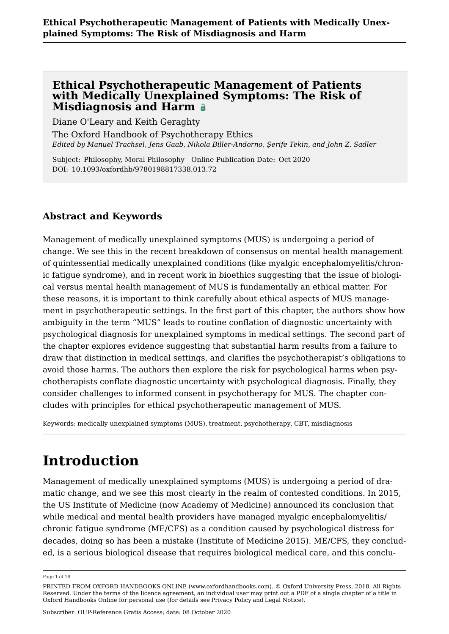Diane O'Leary and Keith Geraghty

[The Oxford Handbook of Psychotherapy Ethics](https://www.oxfordhandbooks.com/view/10.1093/oxfordhb/9780198817338.001.0001/oxfordhb-9780198817338) *Edited by Manuel Trachsel, Jens Gaab, Nikola Biller-Andorno, Şerife Tekin, and John Z. Sadler*

Subject: Philosophy, Moral Philosophy Online Publication Date: Oct 2020 DOI: 10.1093/oxfordhb/9780198817338.013.72

### **Abstract and Keywords**

Management of medically unexplained symptoms (MUS) is undergoing a period of change. We see this in the recent breakdown of consensus on mental health management of quintessential medically unexplained conditions (like myalgic encephalomyelitis/chronic fatigue syndrome), and in recent work in bioethics suggesting that the issue of biological versus mental health management of MUS is fundamentally an ethical matter. For these reasons, it is important to think carefully about ethical aspects of MUS management in psychotherapeutic settings. In the first part of this chapter, the authors show how ambiguity in the term "MUS" leads to routine conflation of diagnostic uncertainty with psychological diagnosis for unexplained symptoms in medical settings. The second part of the chapter explores evidence suggesting that substantial harm results from a failure to draw that distinction in medical settings, and clarifies the psychotherapist's obligations to avoid those harms. The authors then explore the risk for psychological harms when psychotherapists conflate diagnostic uncertainty with psychological diagnosis. Finally, they consider challenges to informed consent in psychotherapy for MUS. The chapter concludes with principles for ethical psychotherapeutic management of MUS.

Keywords: [medically unexplained symptoms \(MUS\)](https://www.oxfordhandbooks.com/search?f_0=keyword&q_0=medically unexplained symptoms (MUS)), [treatment,](https://www.oxfordhandbooks.com/search?f_0=keyword&q_0=treatment) [psychotherapy](https://www.oxfordhandbooks.com/search?f_0=keyword&q_0=psychotherapy), [CBT](https://www.oxfordhandbooks.com/search?f_0=keyword&q_0=CBT), [misdiagnosis](https://www.oxfordhandbooks.com/search?f_0=keyword&q_0=misdiagnosis)

### **Introduction**

Management of medically unexplained symptoms (MUS) is undergoing a period of dramatic change, and we see this most clearly in the realm of contested conditions. In 2015, the US Institute of Medicine (now Academy of Medicine) announced its conclusion that while medical and mental health providers have managed myalgic encephalomyelitis/ chronic fatigue syndrome (ME/CFS) as a condition caused by psychological distress for decades, doing so has been a mistake (Institute of Medicine [2015](#page-14-0)). ME/CFS, they concluded, is a serious biological disease that requires biological medical care, and this conclu

Page 1 of 18

PRINTED FROM OXFORD HANDBOOKS ONLINE (www.oxfordhandbooks.com). © Oxford University Press, 2018. All Rights Reserved. Under the terms of the licence agreement, an individual user may print out a PDF of a single chapter of a title in Oxford Handbooks Online for personal use (for details see [Privacy Policy](https://global.oup.com/privacy) and [Legal Notice\)](https://www.oxfordhandbooks.com/page/legal-notice).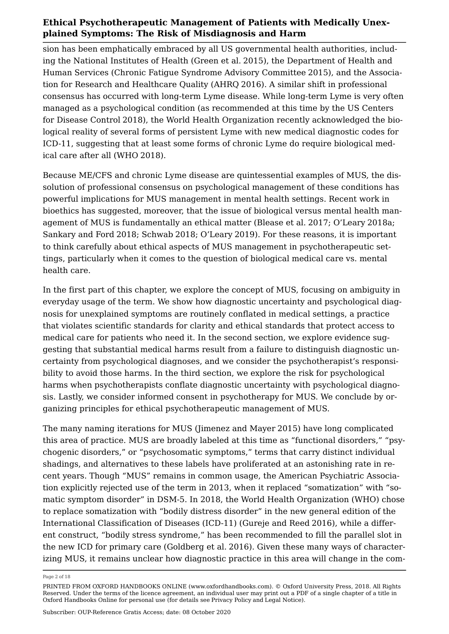sion has been emphatically embraced by all US governmental health authorities, including the National Institutes of Health (Green et al. [2015](#page-13-0)), the Department of Health and Human Services (Chronic Fatigue Syndrome Advisory Committee [2015](#page-13-1)), and the Association for Research and Healthcare Quality (AHRQ [2016](#page-12-0)). A similar shift in professional consensus has occurred with long-term Lyme disease. While long-term Lyme is very often managed as a psychological condition (as recommended at this time by the US Centers for Disease Control [2018](#page-13-2)), the World Health Organization recently acknowledged the biological reality of several forms of persistent Lyme with new medical diagnostic codes for ICD-11, suggesting that at least some forms of chronic Lyme do require biological medical care after all (WHO [2018\)](#page-17-0).

Because ME/CFS and chronic Lyme disease are quintessential examples of MUS, the dissolution of professional consensus on psychological management of these conditions has powerful implications for MUS management in mental health settings. Recent work in bioethics has suggested, moreover, that the issue of biological versus mental health management of MUS is fundamentally an ethical matter (Blease et al. [2017](#page-12-1); O'Leary [2018a](#page-15-0); Sankary and Ford [2018](#page-16-0); Schwab [2018](#page-16-1); O'Leary [2019\)](#page-16-2). For these reasons, it is important to think carefully about ethical aspects of MUS management in psychotherapeutic settings, particularly when it comes to the question of biological medical care vs. mental health care.

In the first part of this chapter, we explore the concept of MUS, focusing on ambiguity in everyday usage of the term. We show how diagnostic uncertainty and psychological diagnosis for unexplained symptoms are routinely conflated in medical settings, a practice that violates scientific standards for clarity and ethical standards that protect access to medical care for patients who need it. In the second section, we explore evidence suggesting that substantial medical harms result from a failure to distinguish diagnostic uncertainty from psychological diagnoses, and we consider the psychotherapist's responsibility to avoid those harms. In the third section, we explore the risk for psychological harms when psychotherapists conflate diagnostic uncertainty with psychological diagnosis. Lastly, we consider informed consent in psychotherapy for MUS. We conclude by organizing principles for ethical psychotherapeutic management of MUS.

The many naming iterations for MUS (Jimenez and Mayer [2015\)](#page-14-1) have long complicated this area of practice. MUS are broadly labeled at this time as "functional disorders," "psychogenic disorders," or "psychosomatic symptoms," terms that carry distinct individual shadings, and alternatives to these labels have proliferated at an astonishing rate in recent years. Though "MUS" remains in common usage, the American Psychiatric Association explicitly rejected use of the term in 2013, when it replaced "somatization" with "somatic symptom disorder" in DSM-5. In 2018, the World Health Organization (WHO) chose to replace somatization with "bodily distress disorder" in the new general edition of the International Classification of Diseases (ICD-11) (Gureje and Reed [2016](#page-14-2)), while a different construct, "bodily stress syndrome," has been recommended to fill the parallel slot in the new ICD for primary care (Goldberg et al. [2016](#page-13-3)). Given these many ways of characterizing MUS, it remains unclear how diagnostic practice in this area will change in the com

Page 2 of 18

PRINTED FROM OXFORD HANDBOOKS ONLINE (www.oxfordhandbooks.com). © Oxford University Press, 2018. All Rights Reserved. Under the terms of the licence agreement, an individual user may print out a PDF of a single chapter of a title in Oxford Handbooks Online for personal use (for details see [Privacy Policy](https://global.oup.com/privacy) and [Legal Notice\)](https://www.oxfordhandbooks.com/page/legal-notice).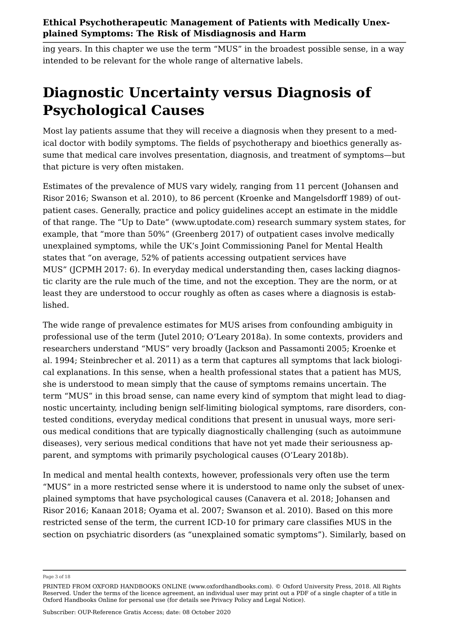ing years. In this chapter we use the term "MUS" in the broadest possible sense, in a way intended to be relevant for the whole range of alternative labels.

# **Diagnostic Uncertainty versus Diagnosis of Psychological Causes**

Most lay patients assume that they will receive a diagnosis when they present to a medical doctor with bodily symptoms. The fields of psychotherapy and bioethics generally assume that medical care involves presentation, diagnosis, and treatment of symptoms—but that picture is very often mistaken.

Estimates of the prevalence of MUS vary widely, ranging from 11 percent (Johansen and Risor [2016](#page-14-3); Swanson et al. [2010](#page-17-1)), to 86 percent (Kroenke and Mangelsdorff [1989](#page-14-4)) of outpatient cases. Generally, practice and policy guidelines accept an estimate in the middle of that range. The "Up to Date" ([www.uptodate.com\)](http://www.uptodate.com) research summary system states, for example, that "more than 50%" (Greenberg [2017](#page-13-4)) of outpatient cases involve medically unexplained symptoms, while the UK's Joint Commissioning Panel for Mental Health states that "on average, 52% of patients accessing outpatient services have MUS" (JCPMH [2017](#page-14-5): 6). In everyday medical understanding then, cases lacking diagnostic clarity are the rule much of the time, and not the exception. They are the norm, or at least they are understood to occur roughly as often as cases where a diagnosis is established.

The wide range of prevalence estimates for MUS arises from confounding ambiguity in professional use of the term (Jutel [2010](#page-14-6); O'Leary [2018a\)](#page-15-0). In some contexts, providers and researchers understand "MUS" very broadly (Jackson and Passamonti [2005;](#page-14-7) Kroenke et al. [1994](#page-15-1); Steinbrecher et al. [2011](#page-17-2)) as a term that captures all symptoms that lack biological explanations. In this sense, when a health professional states that a patient has MUS, she is understood to mean simply that the cause of symptoms remains uncertain. The term "MUS" in this broad sense, can name every kind of symptom that might lead to diagnostic uncertainty, including benign self-limiting biological symptoms, rare disorders, contested conditions, everyday medical conditions that present in unusual ways, more serious medical conditions that are typically diagnostically challenging (such as autoimmune diseases), very serious medical conditions that have not yet made their seriousness apparent, and symptoms with primarily psychological causes (O'Leary [2018b](#page-15-2)).

In medical and mental health contexts, however, professionals very often use the term "MUS" in a more restricted sense where it is understood to name only the subset of unexplained symptoms that have psychological causes (Canavera et al. [2018;](#page-12-2) Johansen and Risor [2016](#page-14-3); Kanaan [2018;](#page-14-8) Oyama et al. [2007;](#page-16-3) Swanson et al. [2010\)](#page-17-1). Based on this more restricted sense of the term, the current ICD-10 for primary care classifies MUS in the section on psychiatric disorders (as "unexplained somatic symptoms"). Similarly, based on

Page 3 of 18

PRINTED FROM OXFORD HANDBOOKS ONLINE (www.oxfordhandbooks.com). © Oxford University Press, 2018. All Rights Reserved. Under the terms of the licence agreement, an individual user may print out a PDF of a single chapter of a title in Oxford Handbooks Online for personal use (for details see [Privacy Policy](https://global.oup.com/privacy) and [Legal Notice\)](https://www.oxfordhandbooks.com/page/legal-notice).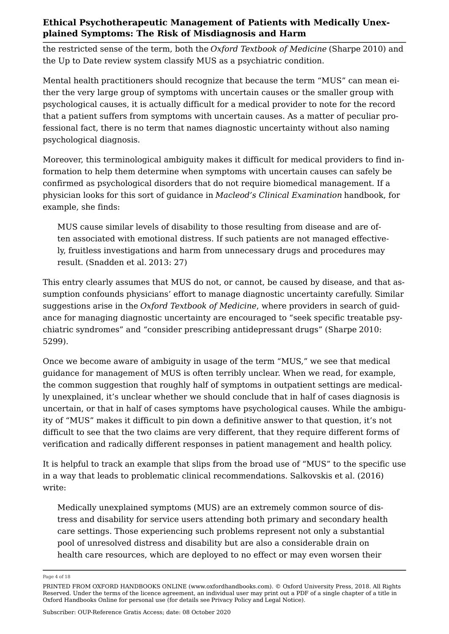the restricted sense of the term, both the *Oxford Textbook of Medicine* (Sharpe [2010\)](#page-16-4) and the Up to Date review system classify MUS as a psychiatric condition.

Mental health practitioners should recognize that because the term "MUS" can mean either the very large group of symptoms with uncertain causes or the smaller group with psychological causes, it is actually difficult for a medical provider to note for the record that a patient suffers from symptoms with uncertain causes. As a matter of peculiar professional fact, there is no term that names diagnostic uncertainty without also naming psychological diagnosis.

Moreover, this terminological ambiguity makes it difficult for medical providers to find information to help them determine when symptoms with uncertain causes can safely be confirmed as psychological disorders that do not require biomedical management. If a physician looks for this sort of guidance in *Macleod's Clinical Examination* handbook, for example, she finds:

MUS cause similar levels of disability to those resulting from disease and are often associated with emotional distress. If such patients are not managed effectively, fruitless investigations and harm from unnecessary drugs and procedures may result. (Snadden et al. [2013:](#page-17-3) 27)

This entry clearly assumes that MUS do not, or cannot, be caused by disease, and that assumption confounds physicians' effort to manage diagnostic uncertainty carefully. Similar suggestions arise in the *Oxford Textbook of Medicine*, where providers in search of guidance for managing diagnostic uncertainty are encouraged to "seek specific treatable psychiatric syndromes" and "consider prescribing antidepressant drugs" (Sharpe [2010:](#page-16-4) 5299).

Once we become aware of ambiguity in usage of the term "MUS," we see that medical guidance for management of MUS is often terribly unclear. When we read, for example, the common suggestion that roughly half of symptoms in outpatient settings are medically unexplained, it's unclear whether we should conclude that in half of cases diagnosis is uncertain, or that in half of cases symptoms have psychological causes. While the ambiguity of "MUS" makes it difficult to pin down a definitive answer to that question, it's not difficult to see that the two claims are very different, that they require different forms of verification and radically different responses in patient management and health policy.

It is helpful to track an example that slips from the broad use of "MUS" to the specific use in a way that leads to problematic clinical recommendations. Salkovskis et al. [\(2016\)](#page-16-5) write:

Medically unexplained symptoms (MUS) are an extremely common source of distress and disability for service users attending both primary and secondary health care settings. Those experiencing such problems represent not only a substantial pool of unresolved distress and disability but are also a considerable drain on health care resources, which are deployed to no effect or may even worsen their

Page 4 of 18

PRINTED FROM OXFORD HANDBOOKS ONLINE (www.oxfordhandbooks.com). © Oxford University Press, 2018. All Rights Reserved. Under the terms of the licence agreement, an individual user may print out a PDF of a single chapter of a title in Oxford Handbooks Online for personal use (for details see [Privacy Policy](https://global.oup.com/privacy) and [Legal Notice\)](https://www.oxfordhandbooks.com/page/legal-notice).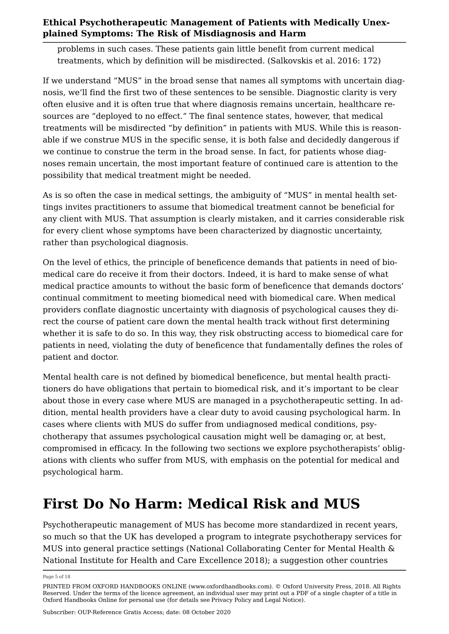problems in such cases. These patients gain little benefit from current medical treatments, which by definition will be misdirected. (Salkovskis et al. [2016](#page-16-5): 172)

If we understand "MUS" in the broad sense that names all symptoms with uncertain diagnosis, we'll find the first two of these sentences to be sensible. Diagnostic clarity is very often elusive and it is often true that where diagnosis remains uncertain, healthcare resources are "deployed to no effect." The final sentence states, however, that medical treatments will be misdirected "by definition" in patients with MUS. While this is reasonable if we construe MUS in the specific sense, it is both false and decidedly dangerous if we continue to construe the term in the broad sense. In fact, for patients whose diagnoses remain uncertain, the most important feature of continued care is attention to the possibility that medical treatment might be needed.

As is so often the case in medical settings, the ambiguity of "MUS" in mental health settings invites practitioners to assume that biomedical treatment cannot be beneficial for any client with MUS. That assumption is clearly mistaken, and it carries considerable risk for every client whose symptoms have been characterized by diagnostic uncertainty, rather than psychological diagnosis.

On the level of ethics, the principle of beneficence demands that patients in need of biomedical care do receive it from their doctors. Indeed, it is hard to make sense of what medical practice amounts to without the basic form of beneficence that demands doctors' continual commitment to meeting biomedical need with biomedical care. When medical providers conflate diagnostic uncertainty with diagnosis of psychological causes they direct the course of patient care down the mental health track without first determining whether it is safe to do so. In this way, they risk obstructing access to biomedical care for patients in need, violating the duty of beneficence that fundamentally defines the roles of patient and doctor.

Mental health care is not defined by biomedical beneficence, but mental health practitioners do have obligations that pertain to biomedical risk, and it's important to be clear about those in every case where MUS are managed in a psychotherapeutic setting. In addition, mental health providers have a clear duty to avoid causing psychological harm. In cases where clients with MUS do suffer from undiagnosed medical conditions, psychotherapy that assumes psychological causation might well be damaging or, at best, compromised in efficacy. In the following two sections we explore psychotherapists' obligations with clients who suffer from MUS, with emphasis on the potential for medical and psychological harm.

### **First Do No Harm: Medical Risk and MUS**

Psychotherapeutic management of MUS has become more standardized in recent years, so much so that the UK has developed a program to integrate psychotherapy services for MUS into general practice settings (National Collaborating Center for Mental Health & National Institute for Health and Care Excellence [2018\)](#page-15-3); a suggestion other countries

Page 5 of 18

PRINTED FROM OXFORD HANDBOOKS ONLINE (www.oxfordhandbooks.com). © Oxford University Press, 2018. All Rights Reserved. Under the terms of the licence agreement, an individual user may print out a PDF of a single chapter of a title in Oxford Handbooks Online for personal use (for details see [Privacy Policy](https://global.oup.com/privacy) and [Legal Notice\)](https://www.oxfordhandbooks.com/page/legal-notice).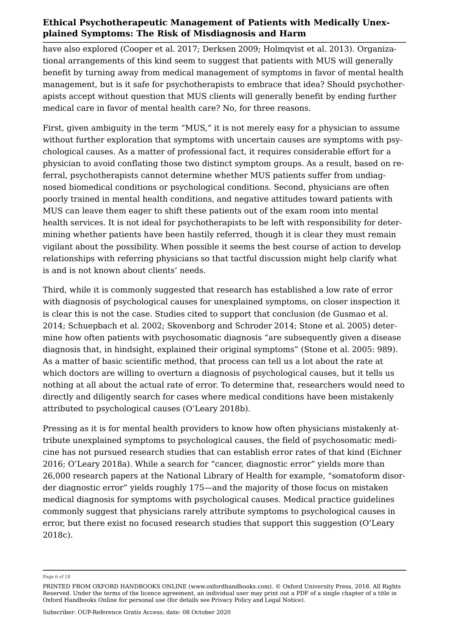have also explored (Cooper et al. [2017;](#page-13-5) Derksen [2009](#page-13-6); Holmqvist et al. [2013](#page-14-9)). Organizational arrangements of this kind seem to suggest that patients with MUS will generally benefit by turning away from medical management of symptoms in favor of mental health management, but is it safe for psychotherapists to embrace that idea? Should psychotherapists accept without question that MUS clients will generally benefit by ending further medical care in favor of mental health care? No, for three reasons.

First, given ambiguity in the term "MUS," it is not merely easy for a physician to assume without further exploration that symptoms with uncertain causes are symptoms with psychological causes. As a matter of professional fact, it requires considerable effort for a physician to avoid conflating those two distinct symptom groups. As a result, based on referral, psychotherapists cannot determine whether MUS patients suffer from undiagnosed biomedical conditions or psychological conditions. Second, physicians are often poorly trained in mental health conditions, and negative attitudes toward patients with MUS can leave them eager to shift these patients out of the exam room into mental health services. It is not ideal for psychotherapists to be left with responsibility for determining whether patients have been hastily referred, though it is clear they must remain vigilant about the possibility. When possible it seems the best course of action to develop relationships with referring physicians so that tactful discussion might help clarify what is and is not known about clients' needs.

Third, while it is commonly suggested that research has established a low rate of error with diagnosis of psychological causes for unexplained symptoms, on closer inspection it is clear this is not the case. Studies cited to support that conclusion (de Gusmao et al. [2014](#page-13-7); Schuepbach et al. [2002;](#page-16-6) Skovenborg and Schroder [2014](#page-16-7); Stone et al. [2005](#page-17-4)) determine how often patients with psychosomatic diagnosis "are subsequently given a disease diagnosis that, in hindsight, explained their original symptoms" (Stone et al. [2005](#page-17-4): 989). As a matter of basic scientific method, that process can tell us a lot about the rate at which doctors are willing to overturn a diagnosis of psychological causes, but it tells us nothing at all about the actual rate of error. To determine that, researchers would need to directly and diligently search for cases where medical conditions have been mistakenly attributed to psychological causes (O'Leary [2018b\)](#page-15-2).

Pressing as it is for mental health providers to know how often physicians mistakenly attribute unexplained symptoms to psychological causes, the field of psychosomatic medicine has not pursued research studies that can establish error rates of that kind (Eichner [2016](#page-13-8); O'Leary [2018a](#page-15-0)). While a search for "cancer, diagnostic error" yields more than 26,000 research papers at the National Library of Health for example, "somatoform disorder diagnostic error" yields roughly 175—and the majority of those focus on mistaken medical diagnosis for symptoms with psychological causes. Medical practice guidelines commonly suggest that physicians rarely attribute symptoms to psychological causes in error, but there exist no focused research studies that support this suggestion (O'Leary [2018c](#page-15-4)).

Page 6 of 18

PRINTED FROM OXFORD HANDBOOKS ONLINE (www.oxfordhandbooks.com). © Oxford University Press, 2018. All Rights Reserved. Under the terms of the licence agreement, an individual user may print out a PDF of a single chapter of a title in Oxford Handbooks Online for personal use (for details see [Privacy Policy](https://global.oup.com/privacy) and [Legal Notice\)](https://www.oxfordhandbooks.com/page/legal-notice).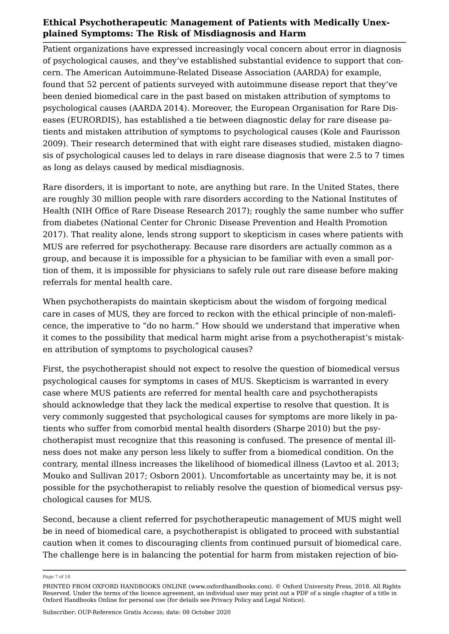Patient organizations have expressed increasingly vocal concern about error in diagnosis of psychological causes, and they've established substantial evidence to support that concern. The American Autoimmune-Related Disease Association (AARDA) for example, found that 52 percent of patients surveyed with autoimmune disease report that they've been denied biomedical care in the past based on mistaken attribution of symptoms to psychological causes (AARDA [2014](#page-12-3)). Moreover, the European Organisation for Rare Diseases (EURORDIS), has established a tie between diagnostic delay for rare disease patients and mistaken attribution of symptoms to psychological causes (Kole and Faurisson [2009](#page-14-10)). Their research determined that with eight rare diseases studied, mistaken diagnosis of psychological causes led to delays in rare disease diagnosis that were 2.5 to 7 times as long as delays caused by medical misdiagnosis.

Rare disorders, it is important to note, are anything but rare. In the United States, there are roughly 30 million people with rare disorders according to the National Institutes of Health (NIH Office of Rare Disease Research [2017](#page-15-5)); roughly the same number who suffer from diabetes (National Center for Chronic Disease Prevention and Health Promotion [2017](#page-15-6)). That reality alone, lends strong support to skepticism in cases where patients with MUS are referred for psychotherapy. Because rare disorders are actually common as a group, and because it is impossible for a physician to be familiar with even a small portion of them, it is impossible for physicians to safely rule out rare disease before making referrals for mental health care.

When psychotherapists do maintain skepticism about the wisdom of forgoing medical care in cases of MUS, they are forced to reckon with the ethical principle of non-maleficence, the imperative to "do no harm." How should we understand that imperative when it comes to the possibility that medical harm might arise from a psychotherapist's mistaken attribution of symptoms to psychological causes?

First, the psychotherapist should not expect to resolve the question of biomedical versus psychological causes for symptoms in cases of MUS. Skepticism is warranted in every case where MUS patients are referred for mental health care and psychotherapists should acknowledge that they lack the medical expertise to resolve that question. It is very commonly suggested that psychological causes for symptoms are more likely in patients who suffer from comorbid mental health disorders (Sharpe [2010](#page-16-4)) but the psychotherapist must recognize that this reasoning is confused. The presence of mental illness does not make any person less likely to suffer from a biomedical condition. On the contrary, mental illness increases the likelihood of biomedical illness (Lavtoo et al. [2013;](#page-15-7) Mouko and Sullivan [2017;](#page-15-8) Osborn [2001](#page-16-8)). Uncomfortable as uncertainty may be, it is not possible for the psychotherapist to reliably resolve the question of biomedical versus psychological causes for MUS.

Second, because a client referred for psychotherapeutic management of MUS might well be in need of biomedical care, a psychotherapist is obligated to proceed with substantial caution when it comes to discouraging clients from continued pursuit of biomedical care. The challenge here is in balancing the potential for harm from mistaken rejection of bio

Page 7 of 18

PRINTED FROM OXFORD HANDBOOKS ONLINE (www.oxfordhandbooks.com). © Oxford University Press, 2018. All Rights Reserved. Under the terms of the licence agreement, an individual user may print out a PDF of a single chapter of a title in Oxford Handbooks Online for personal use (for details see [Privacy Policy](https://global.oup.com/privacy) and [Legal Notice\)](https://www.oxfordhandbooks.com/page/legal-notice).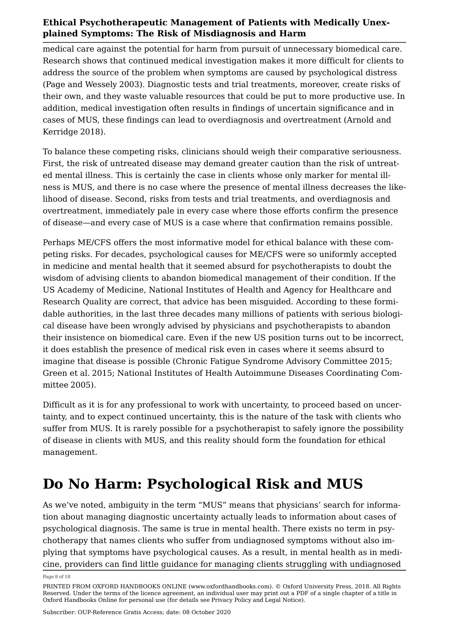medical care against the potential for harm from pursuit of unnecessary biomedical care. Research shows that continued medical investigation makes it more difficult for clients to address the source of the problem when symptoms are caused by psychological distress (Page and Wessely [2003\)](#page-16-9). Diagnostic tests and trial treatments, moreover, create risks of their own, and they waste valuable resources that could be put to more productive use. In addition, medical investigation often results in findings of uncertain significance and in cases of MUS, these findings can lead to overdiagnosis and overtreatment (Arnold and Kerridge [2018\)](#page-12-4).

To balance these competing risks, clinicians should weigh their comparative seriousness. First, the risk of untreated disease may demand greater caution than the risk of untreated mental illness. This is certainly the case in clients whose only marker for mental illness is MUS, and there is no case where the presence of mental illness decreases the likelihood of disease. Second, risks from tests and trial treatments, and overdiagnosis and overtreatment, immediately pale in every case where those efforts confirm the presence of disease—and every case of MUS is a case where that confirmation remains possible.

Perhaps ME/CFS offers the most informative model for ethical balance with these competing risks. For decades, psychological causes for ME/CFS were so uniformly accepted in medicine and mental health that it seemed absurd for psychotherapists to doubt the wisdom of advising clients to abandon biomedical management of their condition. If the US Academy of Medicine, National Institutes of Health and Agency for Healthcare and Research Quality are correct, that advice has been misguided. According to these formidable authorities, in the last three decades many millions of patients with serious biological disease have been wrongly advised by physicians and psychotherapists to abandon their insistence on biomedical care. Even if the new US position turns out to be incorrect, it does establish the presence of medical risk even in cases where it seems absurd to imagine that disease is possible (Chronic Fatigue Syndrome Advisory Committee [2015;](#page-13-1) Green et al. [2015](#page-13-0); National Institutes of Health Autoimmune Diseases Coordinating Committee [2005](#page-15-9)).

Difficult as it is for any professional to work with uncertainty, to proceed based on uncertainty, and to expect continued uncertainty, this is the nature of the task with clients who suffer from MUS. It is rarely possible for a psychotherapist to safely ignore the possibility of disease in clients with MUS, and this reality should form the foundation for ethical management.

### **Do No Harm: Psychological Risk and MUS**

As we've noted, ambiguity in the term "MUS" means that physicians' search for information about managing diagnostic uncertainty actually leads to information about cases of psychological diagnosis. The same is true in mental health. There exists no term in psychotherapy that names clients who suffer from undiagnosed symptoms without also implying that symptoms have psychological causes. As a result, in mental health as in medicine, providers can find little guidance for managing clients struggling with undiagnosed

Page 8 of 18

PRINTED FROM OXFORD HANDBOOKS ONLINE (www.oxfordhandbooks.com). © Oxford University Press, 2018. All Rights Reserved. Under the terms of the licence agreement, an individual user may print out a PDF of a single chapter of a title in Oxford Handbooks Online for personal use (for details see [Privacy Policy](https://global.oup.com/privacy) and [Legal Notice\)](https://www.oxfordhandbooks.com/page/legal-notice).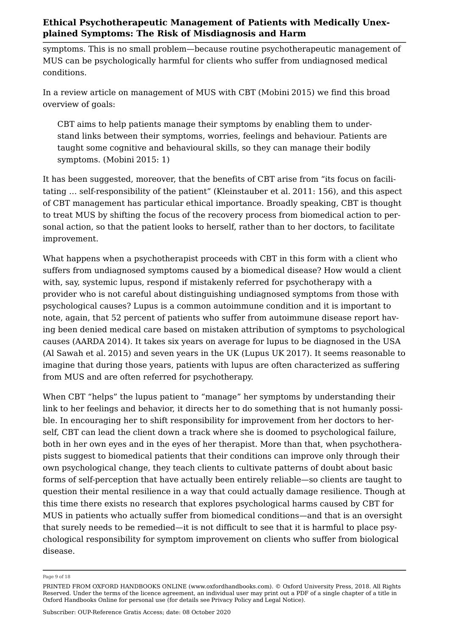symptoms. This is no small problem—because routine psychotherapeutic management of MUS can be psychologically harmful for clients who suffer from undiagnosed medical conditions.

In a review article on management of MUS with CBT (Mobini [2015](#page-15-10)) we find this broad overview of goals:

CBT aims to help patients manage their symptoms by enabling them to understand links between their symptoms, worries, feelings and behaviour. Patients are taught some cognitive and behavioural skills, so they can manage their bodily symptoms. (Mobini [2015:](#page-15-10) 1)

It has been suggested, moreover, that the benefits of CBT arise from "its focus on facilitating … self-responsibility of the patient" (Kleinstauber et al. [2011:](#page-14-11) 156), and this aspect of CBT management has particular ethical importance. Broadly speaking, CBT is thought to treat MUS by shifting the focus of the recovery process from biomedical action to personal action, so that the patient looks to herself, rather than to her doctors, to facilitate improvement.

What happens when a psychotherapist proceeds with CBT in this form with a client who suffers from undiagnosed symptoms caused by a biomedical disease? How would a client with, say, systemic lupus, respond if mistakenly referred for psychotherapy with a provider who is not careful about distinguishing undiagnosed symptoms from those with psychological causes? Lupus is a common autoimmune condition and it is important to note, again, that 52 percent of patients who suffer from autoimmune disease report having been denied medical care based on mistaken attribution of symptoms to psychological causes (AARDA [2014](#page-12-3)). It takes six years on average for lupus to be diagnosed in the USA (Al Sawah et al. [2015\)](#page-12-5) and seven years in the UK (Lupus UK [2017](#page-15-11)). It seems reasonable to imagine that during those years, patients with lupus are often characterized as suffering from MUS and are often referred for psychotherapy.

When CBT "helps" the lupus patient to "manage" her symptoms by understanding their link to her feelings and behavior, it directs her to do something that is not humanly possible. In encouraging her to shift responsibility for improvement from her doctors to herself, CBT can lead the client down a track where she is doomed to psychological failure, both in her own eyes and in the eyes of her therapist. More than that, when psychotherapists suggest to biomedical patients that their conditions can improve only through their own psychological change, they teach clients to cultivate patterns of doubt about basic forms of self-perception that have actually been entirely reliable—so clients are taught to question their mental resilience in a way that could actually damage resilience. Though at this time there exists no research that explores psychological harms caused by CBT for MUS in patients who actually suffer from biomedical conditions—and that is an oversight that surely needs to be remedied—it is not difficult to see that it is harmful to place psychological responsibility for symptom improvement on clients who suffer from biological disease.

#### Page 9 of 18

PRINTED FROM OXFORD HANDBOOKS ONLINE (www.oxfordhandbooks.com). © Oxford University Press, 2018. All Rights Reserved. Under the terms of the licence agreement, an individual user may print out a PDF of a single chapter of a title in Oxford Handbooks Online for personal use (for details see [Privacy Policy](https://global.oup.com/privacy) and [Legal Notice\)](https://www.oxfordhandbooks.com/page/legal-notice).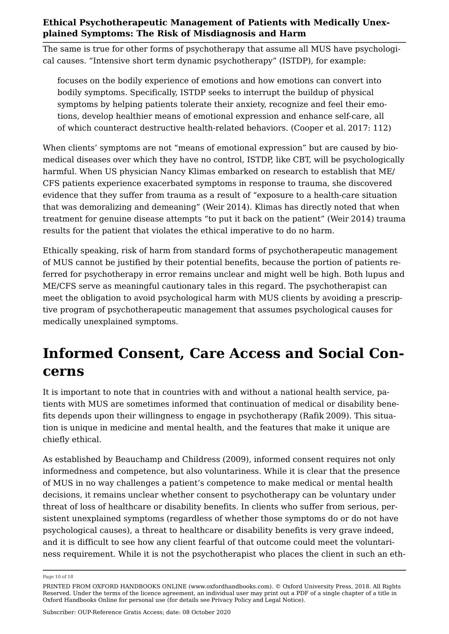The same is true for other forms of psychotherapy that assume all MUS have psychological causes. "Intensive short term dynamic psychotherapy" (ISTDP), for example:

focuses on the bodily experience of emotions and how emotions can convert into bodily symptoms. Specifically, ISTDP seeks to interrupt the buildup of physical symptoms by helping patients tolerate their anxiety, recognize and feel their emotions, develop healthier means of emotional expression and enhance self-care, all of which counteract destructive health-related behaviors. (Cooper et al. [2017:](#page-13-5) 112)

When clients' symptoms are not "means of emotional expression" but are caused by biomedical diseases over which they have no control, ISTDP, like CBT, will be psychologically harmful. When US physician Nancy Klimas embarked on research to establish that ME/ CFS patients experience exacerbated symptoms in response to trauma, she discovered evidence that they suffer from trauma as a result of "exposure to a health-care situation that was demoralizing and demeaning" (Weir [2014](#page-17-5)). Klimas has directly noted that when treatment for genuine disease attempts "to put it back on the patient" (Weir [2014](#page-17-5)) trauma results for the patient that violates the ethical imperative to do no harm.

Ethically speaking, risk of harm from standard forms of psychotherapeutic management of MUS cannot be justified by their potential benefits, because the portion of patients referred for psychotherapy in error remains unclear and might well be high. Both lupus and ME/CFS serve as meaningful cautionary tales in this regard. The psychotherapist can meet the obligation to avoid psychological harm with MUS clients by avoiding a prescriptive program of psychotherapeutic management that assumes psychological causes for medically unexplained symptoms.

# **Informed Consent, Care Access and Social Concerns**

It is important to note that in countries with and without a national health service, patients with MUS are sometimes informed that continuation of medical or disability benefits depends upon their willingness to engage in psychotherapy (Rafik [2009](#page-16-10)). This situation is unique in medicine and mental health, and the features that make it unique are chiefly ethical.

As established by Beauchamp and Childress [\(2009](#page-12-6)), informed consent requires not only informedness and competence, but also voluntariness. While it is clear that the presence of MUS in no way challenges a patient's competence to make medical or mental health decisions, it remains unclear whether consent to psychotherapy can be voluntary under threat of loss of healthcare or disability benefits. In clients who suffer from serious, persistent unexplained symptoms (regardless of whether those symptoms do or do not have psychological causes), a threat to healthcare or disability benefits is very grave indeed, and it is difficult to see how any client fearful of that outcome could meet the voluntariness requirement. While it is not the psychotherapist who places the client in such an eth

Page 10 of 18

PRINTED FROM OXFORD HANDBOOKS ONLINE (www.oxfordhandbooks.com). © Oxford University Press, 2018. All Rights Reserved. Under the terms of the licence agreement, an individual user may print out a PDF of a single chapter of a title in Oxford Handbooks Online for personal use (for details see [Privacy Policy](https://global.oup.com/privacy) and [Legal Notice\)](https://www.oxfordhandbooks.com/page/legal-notice).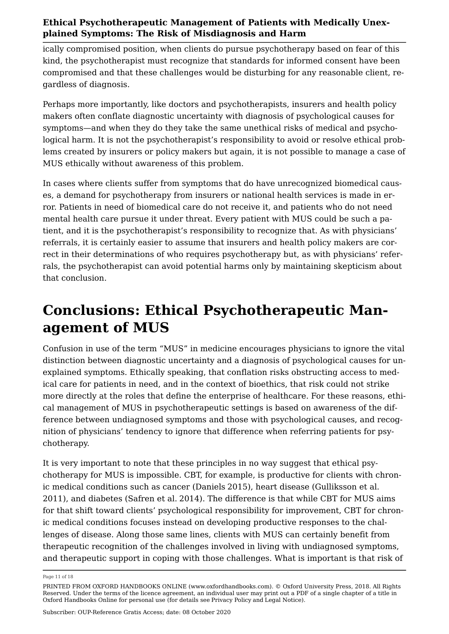ically compromised position, when clients do pursue psychotherapy based on fear of this kind, the psychotherapist must recognize that standards for informed consent have been compromised and that these challenges would be disturbing for any reasonable client, regardless of diagnosis.

Perhaps more importantly, like doctors and psychotherapists, insurers and health policy makers often conflate diagnostic uncertainty with diagnosis of psychological causes for symptoms—and when they do they take the same unethical risks of medical and psychological harm. It is not the psychotherapist's responsibility to avoid or resolve ethical problems created by insurers or policy makers but again, it is not possible to manage a case of MUS ethically without awareness of this problem.

In cases where clients suffer from symptoms that do have unrecognized biomedical causes, a demand for psychotherapy from insurers or national health services is made in error. Patients in need of biomedical care do not receive it, and patients who do not need mental health care pursue it under threat. Every patient with MUS could be such a patient, and it is the psychotherapist's responsibility to recognize that. As with physicians' referrals, it is certainly easier to assume that insurers and health policy makers are correct in their determinations of who requires psychotherapy but, as with physicians' referrals, the psychotherapist can avoid potential harms only by maintaining skepticism about that conclusion.

# **Conclusions: Ethical Psychotherapeutic Management of MUS**

Confusion in use of the term "MUS" in medicine encourages physicians to ignore the vital distinction between diagnostic uncertainty and a diagnosis of psychological causes for unexplained symptoms. Ethically speaking, that conflation risks obstructing access to medical care for patients in need, and in the context of bioethics, that risk could not strike more directly at the roles that define the enterprise of healthcare. For these reasons, ethical management of MUS in psychotherapeutic settings is based on awareness of the difference between undiagnosed symptoms and those with psychological causes, and recognition of physicians' tendency to ignore that difference when referring patients for psychotherapy.

It is very important to note that these principles in no way suggest that ethical psychotherapy for MUS is impossible. CBT, for example, is productive for clients with chronic medical conditions such as cancer (Daniels [2015](#page-13-9)), heart disease (Gulliksson et al. [2011](#page-13-10)), and diabetes (Safren et al. [2014](#page-16-11)). The difference is that while CBT for MUS aims for that shift toward clients' psychological responsibility for improvement, CBT for chronic medical conditions focuses instead on developing productive responses to the challenges of disease. Along those same lines, clients with MUS can certainly benefit from therapeutic recognition of the challenges involved in living with undiagnosed symptoms, and therapeutic support in coping with those challenges. What is important is that risk of

Page 11 of 18

PRINTED FROM OXFORD HANDBOOKS ONLINE (www.oxfordhandbooks.com). © Oxford University Press, 2018. All Rights Reserved. Under the terms of the licence agreement, an individual user may print out a PDF of a single chapter of a title in Oxford Handbooks Online for personal use (for details see [Privacy Policy](https://global.oup.com/privacy) and [Legal Notice\)](https://www.oxfordhandbooks.com/page/legal-notice).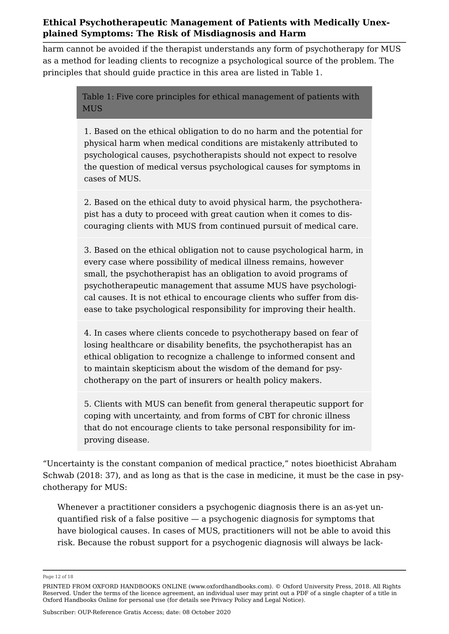harm cannot be avoided if the therapist understands any form of psychotherapy for MUS as a method for leading clients to recognize a psychological source of the problem. The principles that should guide practice in this area are listed in Table [1.](#page-11-0)

> <span id="page-11-0"></span>Table 1: Five core principles for ethical management of patients with MUS

1. Based on the ethical obligation to do no harm and the potential for physical harm when medical conditions are mistakenly attributed to psychological causes, psychotherapists should not expect to resolve the question of medical versus psychological causes for symptoms in cases of MUS.

2. Based on the ethical duty to avoid physical harm, the psychotherapist has a duty to proceed with great caution when it comes to discouraging clients with MUS from continued pursuit of medical care.

3. Based on the ethical obligation not to cause psychological harm, in every case where possibility of medical illness remains, however small, the psychotherapist has an obligation to avoid programs of psychotherapeutic management that assume MUS have psychological causes. It is not ethical to encourage clients who suffer from disease to take psychological responsibility for improving their health.

4. In cases where clients concede to psychotherapy based on fear of losing healthcare or disability benefits, the psychotherapist has an ethical obligation to recognize a challenge to informed consent and to maintain skepticism about the wisdom of the demand for psychotherapy on the part of insurers or health policy makers.

5. Clients with MUS can benefit from general therapeutic support for coping with uncertainty, and from forms of CBT for chronic illness that do not encourage clients to take personal responsibility for improving disease.

"Uncertainty is the constant companion of medical practice," notes bioethicist Abraham Schwab ([2018](#page-16-1): 37), and as long as that is the case in medicine, it must be the case in psychotherapy for MUS:

Whenever a practitioner considers a psychogenic diagnosis there is an as-yet unquantified risk of a false positive — a psychogenic diagnosis for symptoms that have biological causes. In cases of MUS, practitioners will not be able to avoid this risk. Because the robust support for a psychogenic diagnosis will always be lack

Page 12 of 18

PRINTED FROM OXFORD HANDBOOKS ONLINE (www.oxfordhandbooks.com). © Oxford University Press, 2018. All Rights Reserved. Under the terms of the licence agreement, an individual user may print out a PDF of a single chapter of a title in Oxford Handbooks Online for personal use (for details see [Privacy Policy](https://global.oup.com/privacy) and [Legal Notice\)](https://www.oxfordhandbooks.com/page/legal-notice).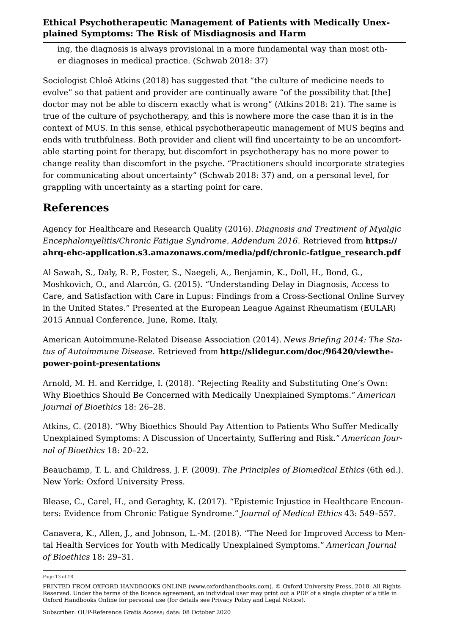ing, the diagnosis is always provisional in a more fundamental way than most other diagnoses in medical practice. (Schwab [2018](#page-16-1): 37)

Sociologist Chloë Atkins [\(2018](#page-12-7)) has suggested that "the culture of medicine needs to evolve" so that patient and provider are continually aware "of the possibility that [the] doctor may not be able to discern exactly what is wrong" (Atkins [2018](#page-12-7): 21). The same is true of the culture of psychotherapy, and this is nowhere more the case than it is in the context of MUS. In this sense, ethical psychotherapeutic management of MUS begins and ends with truthfulness. Both provider and client will find uncertainty to be an uncomfortable starting point for therapy, but discomfort in psychotherapy has no more power to change reality than discomfort in the psyche. "Practitioners should incorporate strategies for communicating about uncertainty" (Schwab [2018:](#page-16-1) 37) and, on a personal level, for grappling with uncertainty as a starting point for care.

### **References**

<span id="page-12-0"></span>Agency for Healthcare and Research Quality (2016). *Diagnosis and Treatment of Myalgic Encephalomyelitis/Chronic Fatigue Syndrome, Addendum 2016*. Retrieved from **[https://](https://ahrq-ehc-application.s3.amazonaws.com/media/pdf/chronic-fatigue_research.pdf) [ahrq-ehc-application.s3.amazonaws.com/media/pdf/chronic-fatigue\\_research.pdf](https://ahrq-ehc-application.s3.amazonaws.com/media/pdf/chronic-fatigue_research.pdf)**

<span id="page-12-5"></span>Al Sawah, S., Daly, R. P., Foster, S., Naegeli, A., Benjamin, K., Doll, H., Bond, G., Moshkovich, O., and Alarcón, G. (2015). "Understanding Delay in Diagnosis, Access to Care, and Satisfaction with Care in Lupus: Findings from a Cross-Sectional Online Survey in the United States." Presented at the European League Against Rheumatism (EULAR) 2015 Annual Conference, June, Rome, Italy.

<span id="page-12-3"></span>American Autoimmune-Related Disease Association (2014). *News Briefing 2014: The Status of Autoimmune Disease*. Retrieved from **[http://slidegur.com/doc/96420/viewthe](http://slidegur.com/doc/96420/viewthe-power-point-presentations)[power-point-presentations](http://slidegur.com/doc/96420/viewthe-power-point-presentations)**

<span id="page-12-4"></span>Arnold, M. H. and Kerridge, I. (2018). "Rejecting Reality and Substituting One's Own: Why Bioethics Should Be Concerned with Medically Unexplained Symptoms." *American Journal of Bioethics* 18: 26–28.

<span id="page-12-7"></span>Atkins, C. (2018). "Why Bioethics Should Pay Attention to Patients Who Suffer Medically Unexplained Symptoms: A Discussion of Uncertainty, Suffering and Risk." *American Journal of Bioethics* 18: 20–22.

<span id="page-12-6"></span>Beauchamp, T. L. and Childress, J. F. (2009). *The Principles of Biomedical Ethics* (6th ed.). New York: Oxford University Press.

<span id="page-12-1"></span>Blease, C., Carel, H., and Geraghty, K. (2017). "Epistemic Injustice in Healthcare Encounters: Evidence from Chronic Fatigue Syndrome." *Journal of Medical Ethics* 43: 549–557.

<span id="page-12-2"></span>Canavera, K., Allen, J., and Johnson, L.-M. (2018). "The Need for Improved Access to Mental Health Services for Youth with Medically Unexplained Symptoms." *American Journal of Bioethics* 18: 29–31.

Page 13 of 18

PRINTED FROM OXFORD HANDBOOKS ONLINE (www.oxfordhandbooks.com). © Oxford University Press, 2018. All Rights Reserved. Under the terms of the licence agreement, an individual user may print out a PDF of a single chapter of a title in Oxford Handbooks Online for personal use (for details see [Privacy Policy](https://global.oup.com/privacy) and [Legal Notice\)](https://www.oxfordhandbooks.com/page/legal-notice).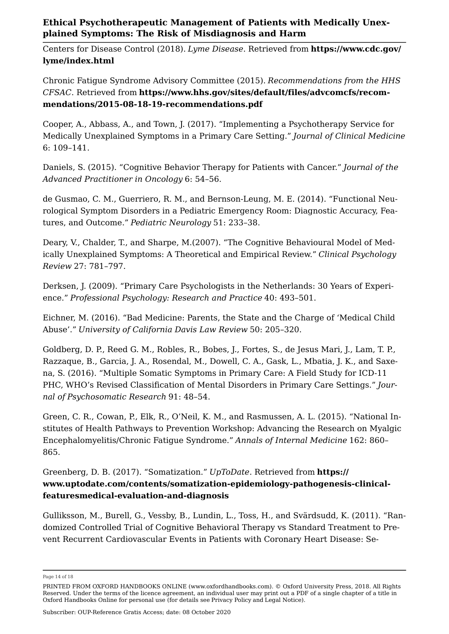<span id="page-13-2"></span>Centers for Disease Control (2018). *Lyme Disease*. Retrieved from **[https://www.cdc.gov/](https://www.cdc.gov/lyme/index.html) [lyme/index.html](https://www.cdc.gov/lyme/index.html)**

<span id="page-13-1"></span>Chronic Fatigue Syndrome Advisory Committee (2015). *Recommendations from the HHS CFSAC*. Retrieved from **[https://www.hhs.gov/sites/default/files/advcomcfs/recom](https://www.hhs.gov/sites/default/files/advcomcfs/recommendations/2015-08-18-19-recommendations.pdf)[mendations/2015-08-18-19-recommendations.pdf](https://www.hhs.gov/sites/default/files/advcomcfs/recommendations/2015-08-18-19-recommendations.pdf)**

<span id="page-13-5"></span>Cooper, A., Abbass, A., and Town, J. (2017). "Implementing a Psychotherapy Service for Medically Unexplained Symptoms in a Primary Care Setting." *Journal of Clinical Medicine* 6: 109–141.

<span id="page-13-9"></span>Daniels, S. (2015). "Cognitive Behavior Therapy for Patients with Cancer." *Journal of the Advanced Practitioner in Oncology* 6: 54–56.

<span id="page-13-7"></span>de Gusmao, C. M., Guerriero, R. M., and Bernson-Leung, M. E. (2014). "Functional Neurological Symptom Disorders in a Pediatric Emergency Room: Diagnostic Accuracy, Features, and Outcome." *Pediatric Neurology* 51: 233–38.

Deary, V., Chalder, T., and Sharpe, M.(2007). "The Cognitive Behavioural Model of Medically Unexplained Symptoms: A Theoretical and Empirical Review." *Clinical Psychology Review* 27: 781–797.

<span id="page-13-6"></span>Derksen, J. (2009). "Primary Care Psychologists in the Netherlands: 30 Years of Experience." *Professional Psychology: Research and Practice* 40: 493–501.

<span id="page-13-8"></span>Eichner, M. (2016). "Bad Medicine: Parents, the State and the Charge of 'Medical Child Abuse'." *University of California Davis Law Review* 50: 205–320.

<span id="page-13-3"></span>Goldberg, D. P., Reed G. M., Robles, R., Bobes, J., Fortes, S., de Jesus Mari, J., Lam, T. P., Razzaque, B., Garcia, J. A., Rosendal, M., Dowell, C. A., Gask, L., Mbatia, J. K., and Saxena, S. (2016). "Multiple Somatic Symptoms in Primary Care: A Field Study for ICD-11 PHC, WHO's Revised Classification of Mental Disorders in Primary Care Settings." *Journal of Psychosomatic Research* 91: 48–54.

<span id="page-13-0"></span>Green, C. R., Cowan, P., Elk, R., O'Neil, K. M., and Rasmussen, A. L. (2015). "National Institutes of Health Pathways to Prevention Workshop: Advancing the Research on Myalgic Encephalomyelitis/Chronic Fatigue Syndrome." *Annals of Internal Medicine* 162: 860– 865.

<span id="page-13-4"></span>Greenberg, D. B. (2017). "Somatization." *UpToDate*. Retrieved from **[https://](https://www.uptodate.com/contents/somatization-epidemiology-pathogenesis-clinical-featuresmedical-evaluation-and-diagnosis) [www.uptodate.com/contents/somatization-epidemiology-pathogenesis-clinical](https://www.uptodate.com/contents/somatization-epidemiology-pathogenesis-clinical-featuresmedical-evaluation-and-diagnosis)[featuresmedical-evaluation-and-diagnosis](https://www.uptodate.com/contents/somatization-epidemiology-pathogenesis-clinical-featuresmedical-evaluation-and-diagnosis)**

<span id="page-13-10"></span>Gulliksson, M., Burell, G., Vessby, B., Lundin, L., Toss, H., and Svärdsudd, K. (2011). "Randomized Controlled Trial of Cognitive Behavioral Therapy vs Standard Treatment to Prevent Recurrent Cardiovascular Events in Patients with Coronary Heart Disease: Se

Page 14 of 18

PRINTED FROM OXFORD HANDBOOKS ONLINE (www.oxfordhandbooks.com). © Oxford University Press, 2018. All Rights Reserved. Under the terms of the licence agreement, an individual user may print out a PDF of a single chapter of a title in Oxford Handbooks Online for personal use (for details see [Privacy Policy](https://global.oup.com/privacy) and [Legal Notice\)](https://www.oxfordhandbooks.com/page/legal-notice).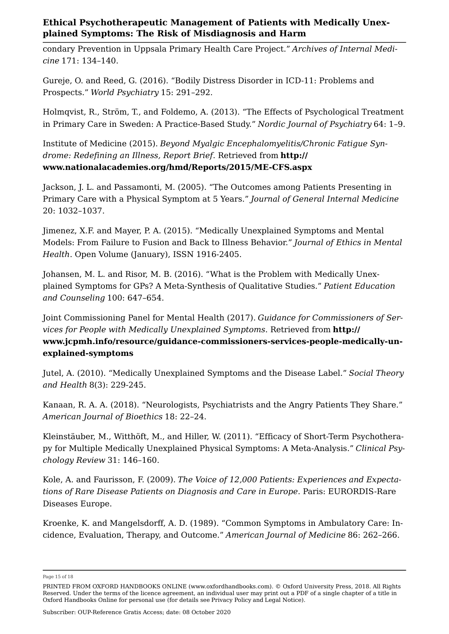condary Prevention in Uppsala Primary Health Care Project." *Archives of Internal Medicine* 171: 134–140.

<span id="page-14-2"></span>Gureje, O. and Reed, G. (2016). "Bodily Distress Disorder in ICD-11: Problems and Prospects." *World Psychiatry* 15: 291–292.

<span id="page-14-9"></span>Holmqvist, R., Ström, T., and Foldemo, A. (2013). "The Effects of Psychological Treatment in Primary Care in Sweden: A Practice-Based Study." *Nordic Journal of Psychiatry* 64: 1–9.

<span id="page-14-0"></span>Institute of Medicine (2015). *Beyond Myalgic Encephalomyelitis/Chronic Fatigue Syndrome: Redefining an Illness, Report Brief*. Retrieved from **[http://](http://www.nationalacademies.org/hmd/Reports/2015/ME-CFS.aspx) [www.nationalacademies.org/hmd/Reports/2015/ME-CFS.aspx](http://www.nationalacademies.org/hmd/Reports/2015/ME-CFS.aspx)**

<span id="page-14-7"></span>Jackson, J. L. and Passamonti, M. (2005). "The Outcomes among Patients Presenting in Primary Care with a Physical Symptom at 5 Years." *Journal of General Internal Medicine* 20: 1032–1037.

<span id="page-14-1"></span>Jimenez, X.F. and Mayer, P. A. (2015). "Medically Unexplained Symptoms and Mental Models: From Failure to Fusion and Back to Illness Behavior." *Journal of Ethics in Mental Health*. Open Volume (January), ISSN 1916-2405.

<span id="page-14-3"></span>Johansen, M. L. and Risor, M. B. (2016). "What is the Problem with Medically Unexplained Symptoms for GPs? A Meta-Synthesis of Qualitative Studies." *Patient Education and Counseling* 100: 647–654.

<span id="page-14-5"></span>Joint Commissioning Panel for Mental Health (2017). *Guidance for Commissioners of Services for People with Medically Unexplained Symptoms*. Retrieved from **[http://](http://www.jcpmh.info/resource/guidance-commissioners-services-people-medically-unexplained-symptoms) [www.jcpmh.info/resource/guidance-commissioners-services-people-medically-un](http://www.jcpmh.info/resource/guidance-commissioners-services-people-medically-unexplained-symptoms)[explained-symptoms](http://www.jcpmh.info/resource/guidance-commissioners-services-people-medically-unexplained-symptoms)**

<span id="page-14-6"></span>Jutel, A. (2010). "Medically Unexplained Symptoms and the Disease Label." *Social Theory and Health* 8(3): 229-245.

<span id="page-14-8"></span>Kanaan, R. A. A. (2018). "Neurologists, Psychiatrists and the Angry Patients They Share." *American Journal of Bioethics* 18: 22–24.

<span id="page-14-11"></span>Kleinstäuber, M., Witthöft, M., and Hiller, W. (2011). "Efficacy of Short-Term Psychotherapy for Multiple Medically Unexplained Physical Symptoms: A Meta-Analysis." *Clinical Psychology Review* 31: 146–160.

<span id="page-14-10"></span>Kole, A. and Faurisson, F. (2009). *The Voice of 12,000 Patients: Experiences and Expectations of Rare Disease Patients on Diagnosis and Care in Europe*. Paris: EURORDIS-Rare Diseases Europe.

<span id="page-14-4"></span>Kroenke, K. and Mangelsdorff, A. D. (1989). "Common Symptoms in Ambulatory Care: Incidence, Evaluation, Therapy, and Outcome." *American Journal of Medicine* 86: 262–266.

Page 15 of 18

Subscriber: OUP-Reference Gratis Access; date: 08 October 2020

PRINTED FROM OXFORD HANDBOOKS ONLINE (www.oxfordhandbooks.com). © Oxford University Press, 2018. All Rights Reserved. Under the terms of the licence agreement, an individual user may print out a PDF of a single chapter of a title in Oxford Handbooks Online for personal use (for details see [Privacy Policy](https://global.oup.com/privacy) and [Legal Notice\)](https://www.oxfordhandbooks.com/page/legal-notice).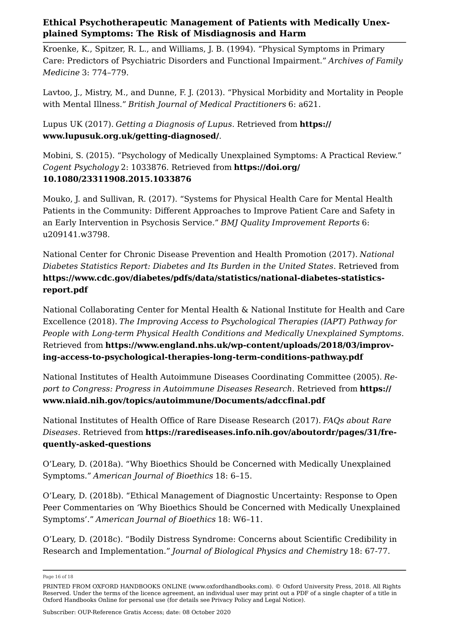<span id="page-15-1"></span>Kroenke, K., Spitzer, R. L., and Williams, J. B. (1994). "Physical Symptoms in Primary Care: Predictors of Psychiatric Disorders and Functional Impairment." *Archives of Family Medicine* 3: 774–779.

<span id="page-15-7"></span>Lavtoo, J., Mistry, M., and Dunne, F. J. (2013). "Physical Morbidity and Mortality in People with Mental Illness." *British Journal of Medical Practitioners* 6: a621.

### <span id="page-15-11"></span>Lupus UK (2017). *Getting a Diagnosis of Lupus*. Retrieved from **[https://](https://www.lupusuk.org.uk/getting-diagnosed/) [www.lupusuk.org.uk/getting-diagnosed/](https://www.lupusuk.org.uk/getting-diagnosed/)**.

<span id="page-15-10"></span>Mobini, S. (2015). "Psychology of Medically Unexplained Symptoms: A Practical Review." *Cogent Psychology* 2: 1033876. Retrieved from **[https://doi.org/](https://doi.org/10.1080/23311908.2015.1033876) [10.1080/23311908.2015.1033876](https://doi.org/10.1080/23311908.2015.1033876)**

<span id="page-15-8"></span>Mouko, J. and Sullivan, R. (2017). "Systems for Physical Health Care for Mental Health Patients in the Community: Different Approaches to Improve Patient Care and Safety in an Early Intervention in Psychosis Service." *BMJ Quality Improvement Reports* 6: u209141.w3798.

<span id="page-15-6"></span>National Center for Chronic Disease Prevention and Health Promotion (2017). *National Diabetes Statistics Report: Diabetes and Its Burden in the United States*. Retrieved from **[https://www.cdc.gov/diabetes/pdfs/data/statistics/national-diabetes-statistics](https://www.cdc.gov/diabetes/pdfs/data/statistics/national-diabetes-statistics-report.pdf)[report.pdf](https://www.cdc.gov/diabetes/pdfs/data/statistics/national-diabetes-statistics-report.pdf)**

<span id="page-15-3"></span>National Collaborating Center for Mental Health & National Institute for Health and Care Excellence (2018). *The Improving Access to Psychological Therapies (IAPT) Pathway for People with Long-term Physical Health Conditions and Medically Unexplained Symptoms*. Retrieved from **[https://www.england.nhs.uk/wp-content/uploads/2018/03/improv](https://www.england.nhs.uk/wp-content/uploads/2018/03/improving-access-to-psychological-therapies-long-term-conditions-pathway.pdf)[ing-access-to-psychological-therapies-long-term-conditions-pathway.pdf](https://www.england.nhs.uk/wp-content/uploads/2018/03/improving-access-to-psychological-therapies-long-term-conditions-pathway.pdf)**

<span id="page-15-9"></span>National Institutes of Health Autoimmune Diseases Coordinating Committee (2005). *Report to Congress: Progress in Autoimmune Diseases Research*. Retrieved from **[https://](https://www.niaid.nih.gov/topics/autoimmune/Documents/adccfinal.pdf) [www.niaid.nih.gov/topics/autoimmune/Documents/adccfinal.pdf](https://www.niaid.nih.gov/topics/autoimmune/Documents/adccfinal.pdf)**

<span id="page-15-5"></span>National Institutes of Health Office of Rare Disease Research (2017). *FAQs about Rare Diseases*. Retrieved from **[https://rarediseases.info.nih.gov/aboutordr/pages/31/fre](https://rarediseases.info.nih.gov/aboutordr/pages/31/frequently-asked-questions)[quently-asked-questions](https://rarediseases.info.nih.gov/aboutordr/pages/31/frequently-asked-questions)**

<span id="page-15-0"></span>O'Leary, D. (2018a). "Why Bioethics Should be Concerned with Medically Unexplained Symptoms." *American Journal of Bioethics* 18: 6–15.

<span id="page-15-2"></span>O'Leary, D. (2018b). "Ethical Management of Diagnostic Uncertainty: Response to Open Peer Commentaries on 'Why Bioethics Should be Concerned with Medically Unexplained Symptoms'." *American Journal of Bioethics* 18: W6–11.

<span id="page-15-4"></span>O'Leary, D. (2018c). "Bodily Distress Syndrome: Concerns about Scientific Credibility in Research and Implementation." *Journal of Biological Physics and Chemistry* 18: 67-77.

Page 16 of 18

PRINTED FROM OXFORD HANDBOOKS ONLINE (www.oxfordhandbooks.com). © Oxford University Press, 2018. All Rights Reserved. Under the terms of the licence agreement, an individual user may print out a PDF of a single chapter of a title in Oxford Handbooks Online for personal use (for details see [Privacy Policy](https://global.oup.com/privacy) and [Legal Notice\)](https://www.oxfordhandbooks.com/page/legal-notice).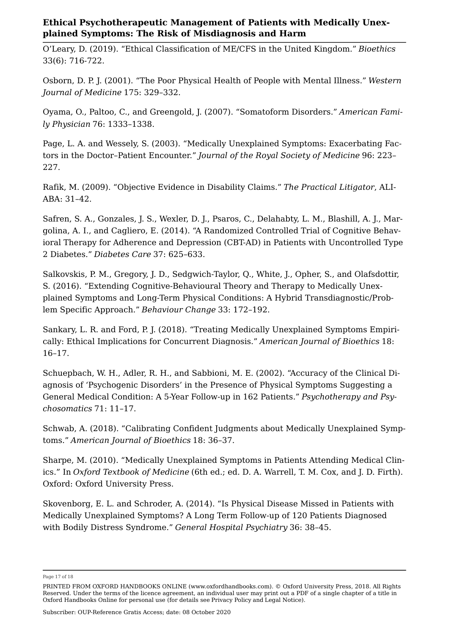<span id="page-16-2"></span>O'Leary, D. (2019). "Ethical Classification of ME/CFS in the United Kingdom." *Bioethics* 33(6): 716-722.

<span id="page-16-8"></span>Osborn, D. P. J. (2001). "The Poor Physical Health of People with Mental Illness." *Western Journal of Medicine* 175: 329–332.

<span id="page-16-3"></span>Oyama, O., Paltoo, C., and Greengold, J. (2007). "Somatoform Disorders." *American Family Physician* 76: 1333–1338.

<span id="page-16-9"></span>Page, L. A. and Wessely, S. (2003). "Medically Unexplained Symptoms: Exacerbating Factors in the Doctor–Patient Encounter." *Journal of the Royal Society of Medicine* 96: 223– 227.

<span id="page-16-10"></span>Rafik, M. (2009). "Objective Evidence in Disability Claims." *The Practical Litigator*, ALI-ABA: 31–42.

<span id="page-16-11"></span>Safren, S. A., Gonzales, J. S., Wexler, D. J., Psaros, C., Delahabty, L. M., Blashill, A. J., Margolina, A. I., and Cagliero, E. (2014). "A Randomized Controlled Trial of Cognitive Behavioral Therapy for Adherence and Depression (CBT-AD) in Patients with Uncontrolled Type 2 Diabetes." *Diabetes Care* 37: 625–633.

<span id="page-16-5"></span>Salkovskis, P. M., Gregory, J. D., Sedgwich-Taylor, Q., White, J., Opher, S., and Olafsdottir, S. (2016). "Extending Cognitive-Behavioural Theory and Therapy to Medically Unexplained Symptoms and Long-Term Physical Conditions: A Hybrid Transdiagnostic/Problem Specific Approach." *Behaviour Change* 33: 172–192.

<span id="page-16-0"></span>Sankary, L. R. and Ford, P. J. (2018). "Treating Medically Unexplained Symptoms Empirically: Ethical Implications for Concurrent Diagnosis." *American Journal of Bioethics* 18: 16–17.

<span id="page-16-6"></span>Schuepbach, W. H., Adler, R. H., and Sabbioni, M. E. (2002). "Accuracy of the Clinical Diagnosis of 'Psychogenic Disorders' in the Presence of Physical Symptoms Suggesting a General Medical Condition: A 5-Year Follow-up in 162 Patients." *Psychotherapy and Psychosomatics* 71: 11–17.

<span id="page-16-1"></span>Schwab, A. (2018). "Calibrating Confident Judgments about Medically Unexplained Symptoms." *American Journal of Bioethics* 18: 36–37.

<span id="page-16-4"></span>Sharpe, M. (2010). "Medically Unexplained Symptoms in Patients Attending Medical Clinics." In *Oxford Textbook of Medicine* (6th ed.; ed. D. A. Warrell, T. M. Cox, and J. D. Firth). Oxford: Oxford University Press.

<span id="page-16-7"></span>Skovenborg, E. L. and Schroder, A. (2014). "Is Physical Disease Missed in Patients with Medically Unexplained Symptoms? A Long Term Follow-up of 120 Patients Diagnosed with Bodily Distress Syndrome." *General Hospital Psychiatry* 36: 38–45.

Page 17 of 18

Subscriber: OUP-Reference Gratis Access; date: 08 October 2020

PRINTED FROM OXFORD HANDBOOKS ONLINE (www.oxfordhandbooks.com). © Oxford University Press, 2018. All Rights Reserved. Under the terms of the licence agreement, an individual user may print out a PDF of a single chapter of a title in Oxford Handbooks Online for personal use (for details see [Privacy Policy](https://global.oup.com/privacy) and [Legal Notice\)](https://www.oxfordhandbooks.com/page/legal-notice).